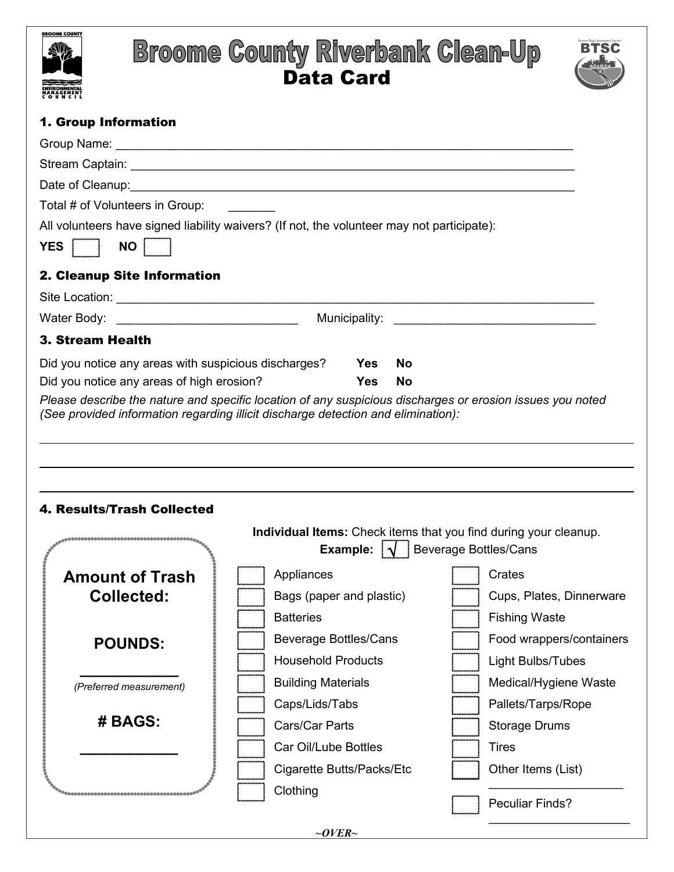

## **Broome County Riverbank Clean-Up**



## un Information

| Total # of Volunteers in Group:                                                            |                              |            |           |  |                                                                  |  |
|--------------------------------------------------------------------------------------------|------------------------------|------------|-----------|--|------------------------------------------------------------------|--|
| All volunteers have signed liability waivers? (If not, the volunteer may not participate): |                              |            |           |  |                                                                  |  |
| <b>NO</b><br>YES                                                                           |                              |            |           |  |                                                                  |  |
| 2. Cleanup Site Information                                                                |                              |            |           |  |                                                                  |  |
|                                                                                            |                              |            |           |  |                                                                  |  |
|                                                                                            |                              |            |           |  |                                                                  |  |
| <b>3. Stream Health</b>                                                                    |                              |            |           |  |                                                                  |  |
| Did you notice any areas with suspicious discharges?                                       |                              | <b>Yes</b> | No        |  |                                                                  |  |
| Did you notice any areas of high erosion?                                                  |                              | <b>Yes</b> | <b>No</b> |  |                                                                  |  |
|                                                                                            |                              |            |           |  |                                                                  |  |
| 4. Results/Trash Collected                                                                 |                              |            |           |  | Individual Items: Check items that you find during your cleanup. |  |
|                                                                                            |                              |            |           |  | <b>Example:</b> $\sqrt{\phantom{a}}$ Beverage Bottles/Cans       |  |
| <b>Amount of Trash</b>                                                                     | Appliances                   |            |           |  | Crates                                                           |  |
| <b>Collected:</b>                                                                          | Bags (paper and plastic)     |            |           |  | Cups, Plates, Dinnerware                                         |  |
|                                                                                            | <b>Batteries</b>             |            |           |  | Fishing Waste                                                    |  |
| <b>POUNDS:</b>                                                                             | <b>Beverage Bottles/Cans</b> |            |           |  | Food wrappers/containers                                         |  |
|                                                                                            | <b>Household Products</b>    |            |           |  | Light Bulbs/Tubes                                                |  |
| (Preferred measurement)                                                                    | <b>Building Materials</b>    |            |           |  | Medical/Hygiene Waste                                            |  |
|                                                                                            | Caps/Lids/Tabs               |            |           |  | Pallets/Tarps/Rope                                               |  |
| # BAGS:                                                                                    | Cars/Car Parts               |            |           |  | <b>Storage Drums</b>                                             |  |
|                                                                                            | Car Oil/Lube Bottles         |            |           |  | <b>Tires</b>                                                     |  |
|                                                                                            | Cigarette Butts/Packs/Etc    |            |           |  | Other Items (List)                                               |  |